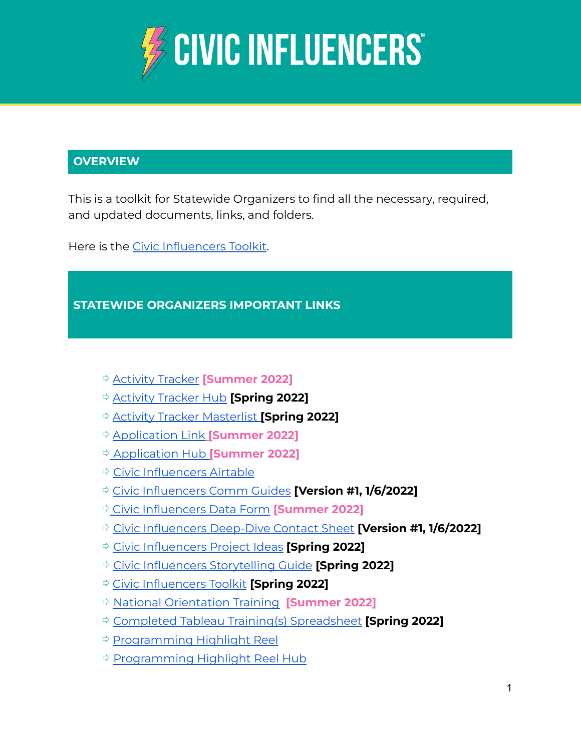

# **OVERVIEW**

This is a toolkit for Statewide Organizers to find all the necessary, required, and updated documents, links, and folders.

Here is the Civic [Influencers](https://docs.google.com/document/d/1tuIr2ybwAZmK3AFIaxwBvr_v2q-75aIaz_Ain5HFYTU/edit) Toolkit.

### **STATEWIDE ORGANIZERS IMPORTANT LINKS**

- ⇨ [Activity](https://airtable.com/shryaEJ3Z88TxP45E) Tracker **[Summer 2022]**
- ⇨ [Activity](https://airtable.com/appMNTzs8556ins3l/pagqWVVwZdCK9Ro7R?L0w3q=recSvdpd3eKHCcO06) Tracker Hub **[Spring 2022]**
- ⇨ Activity Tracker [Masterlist](https://airtable.com/appMNTzs8556ins3l/tbleDPMxNM23VSYfw/viwkw5pSer2p2BjGh?blocks=hide) **[Spring 2022]**
- ⇨ [Application](https://bit.ly/CISummer22) Link **[Summer 2022]**
- ⇨ [Application](https://airtable.com/app0ZMGKLoKHfZlH5/paggd6wO2iJUz2Tuk) Hub **[Summer 2022]**
- ⇨ Civic [Influencers](https://airtable.com/) Airtable
- ⇨ Civic [Influencers](https://docs.google.com/document/d/17fXD3qO5FOakHziKEI6qU3x0CpTl6FGR3iSS1jOZyb4/edit) Comm Guides **[Version #1, 1/6/2022]**
- ⇨ Civic [Influencers](https://airtable.com/shrakCGDHIv69XB5K) Data Form **[Summer 2022]**
- ⇨ Civic [Influencers](https://docs.google.com/spreadsheets/d/1K6CWxXV1JUUJx-5kQimSQD2GB0W_L5rm/edit#gid=1666896088) Deep-Dive Contact Sheet **[Version #1, 1/6/2022]**
- ⇨ Civic [Influencers](https://docs.google.com/document/d/1U9Muugoqwt2kcVF4qolj6YWzDx2TuoyF/edit?usp=sharing&ouid=114762663542550373906&rtpof=true&sd=true) Project Ideas **[Spring 2022]**
- ⇨ Civic Influencers [Storytelling](https://docs.google.com/document/d/1Yg3TBXMQmUUWU_8HFPH9AC5V4jBojMYFahYevgLsSxY/edit?usp=sharing) Guide **[Spring 2022]**
- ⇨ Civic [Influencers](https://docs.google.com/document/u/1/d/1tuIr2ybwAZmK3AFIaxwBvr_v2q-75aIaz_Ain5HFYTU/edit?usp=drive_web&ouid=114762663542550373906) Toolkit **[Spring 2022]**
- ⇨ National [Orientation](https://vimeo.com/718698989) Training **[Summer 2022]**
- ⇨ Completed Tableau Training(s) [Spreadsheet](https://docs.google.com/spreadsheets/d/1HuP7vdXooZYrKoLZYYBNW4whuYItEy3o47ewrPSsXzY/edit?usp=sharing) **[Spring 2022]**
- ⇨ [Programming](https://airtable.com/shrf5sx6iEVvzi1n4) Highlight Reel
- ⇨ [Programming](https://airtable.com/app9XTgT50zBcREpv/pagoEScFKosVOK5Is?4rLs8=rechJe1eOWrpOGlzY) Highlight Reel Hub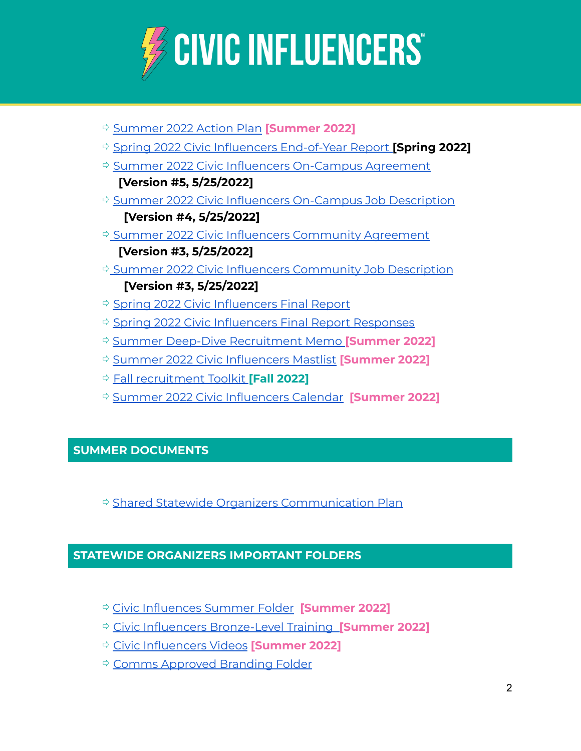

- ⇨ [Summer](https://docs.google.com/spreadsheets/d/1S2itqx3nlcxJ0QhqRjQl6Uij8Y7OSlfG7iRTzM2yYXA/edit?usp=sharing) 2022 Action Plan **[Summer 2022]** ⇨ Spring 2022 Civic Influencers [End-of-Year](https://docs.google.com/spreadsheets/d/1phBL7TQu_2ogI-oP09pJ-to0DRNSeuDnoQIphIIVVXM/edit?usp=sharing) Report **[Spring 2022]** ⇨ Summer 2022 Civic Influencers [On-Campus](https://docs.google.com/document/d/11WhxXIebxgsQY7kOnw6Vcsa05O9HwqDQ/edit) Agreement **[Version #5, 5/25/2022]** ⇨ Summer 2022 Civic Influencers [On-Campus](https://docs.google.com/document/d/1ed1B_-E_iKF5s43iHIkk0mfZ1gYoVSI7/edit) Job Description **[Version #4, 5/25/2022]** ⇨ Summer 2022 Civic Influencers [Community](https://docs.google.com/document/d/1mc6JKqOhRDp7sVe9o9xtWgPMIsUXAhZy/edit) Agreement **[Version #3, 5/25/2022]** ⇨ Summer 2022 Civic Influencers [Community](https://docs.google.com/document/d/1RITaBTYYv9ZwiNbWfCMW3xvba00Z-N5Y/edit) Job Description **[Version #3, 5/25/2022]** ⇨ Spring 2022 Civic [Influencers](https://bit.ly/Spring22FinalReport) Final Report ⇨ Spring 2022 Civic [Influencers](https://airtable.com/shrLIn24gTmpIDUcx) Final Report Responses ⇨ Summer Deep-Dive [Recruitment](https://docs.google.com/document/d/1FzdGGPEOuGmIM8pi7R8xC5fVcaUjJVOKH36VNlcPbIA/edit?usp=sharing) Memo **[Summer 2022]** ⇨ Summer 2022 Civic [Influencers](https://docs.google.com/spreadsheets/d/191owQnZ87s9WSAF6KzmnicbdJZUWUtotJ0jHfJsbpXg/edit#gid=0) Mastlist **[Summer 2022]** ⇨ Fall [recruitment](https://docs.google.com/document/d/1PudCw9C0C5jzpflc1OcuJXRgM-go4Jji/edit?usp=sharing&ouid=114762663542550373906&rtpof=true&sd=true) Toolkit **[Fall 2022]**
- ⇨ Summer 2022 Civic [Influencers](https://docs.google.com/document/d/1a_tqxKHTyUZrnOZ7_SrU4R1rtymsjA44/edit?usp=sharing&ouid=114762663542550373906&rtpof=true&sd=true) Calendar **[Summer 2022]**

# **SUMMER DOCUMENTS**

⇨ Shared Statewide Organizers [Communication](https://docs.google.com/spreadsheets/d/1TtnVZm8N9vi-xklqR5e7VpjmyWOCS5ymJk5TntVPMRc/edit#gid=0) Plan

#### **STATEWIDE ORGANIZERS IMPORTANT FOLDERS**

- ⇨ Civic [Influences](https://drive.google.com/drive/folders/1tUSp8iu4_MrBdlEY8J3IQrGzRMfjRDDu) Summer Folder **[Summer 2022]**
- ⇨ Civic Influencers [Bronze-Level](https://drive.google.com/drive/folders/1eif6351Bo_RpryjZTmzWuKBqFTRfbTcV?usp=sharing) Training **[Summer 2022]**
- ⇨ Civic [Influencers](https://drive.google.com/drive/folders/1xuGQvGQyHuE9qZM_FKpOILk1BtUjgpQy?usp=sharing) Videos **[Summer 2022]**
- ⇨ Comms [Approved](https://drive.google.com/drive/folders/1RM0AorPjTbdmRbDW8TnrfljV_HnwSxCN) Branding Folder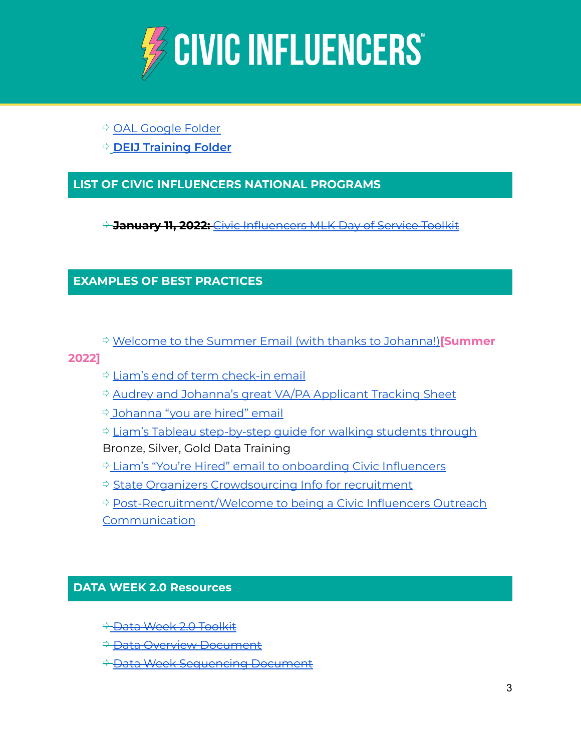

# ⇨ OAL [Google](https://drive.google.com/drive/folders/16dtw8dEOe64tJk4_HW_qyrrx49J__YyQ?usp=sharing) Folder

⇨ **DEIJ [Training](https://drive.google.com/drive/folders/1veYRmbcgdwvZR9jnxMOmT4O0qzE-bOt6?usp=sharing) Folder**

### **LIST OF CIVIC INFLUENCERS NATIONAL PROGRAMS**

⇨ **January 11, 2022:** Civic [Influencers](https://docs.google.com/document/d/1vQ5fxPMN5kWuWIbCcQoDtfpC7RGpSzc1Ljs2twmo_CE/edit?usp=sharing) MLK Day of Service Toolkit

### **EXAMPLES OF BEST PRACTICES**

⇨ Welcome to the Summer Email (with thanks to [Johanna!\)](https://docs.google.com/document/d/1JuadCga9bvgKB-cOHS6K7dy8q2D0T9lfND1FcicXeBw/edit?usp=sharing)**[Summer**

#### **2022]**

- ⇨ Liam's end of term [check-in](https://docs.google.com/document/d/16Y3BO1c6ki-uz4617glerwxCNnxMZY5XjiLi5Ieuhtk/edit?usp=sharing) email
- ⇨ Audrey and [Johanna's](https://docs.google.com/spreadsheets/d/1ZVN-_mTQHaR0LYW_1X8ldfwW4Aulhl_vUorlqtzyX4Y/edit?usp=sharing) great VA/PA Applicant Tracking Sheet
- ⇨ [Johanna](https://docs.google.com/document/d/13yGB1yXkGyQMwrlZRFZj-shBFsKyqVq1_kL1Blyi-u4/edit?usp=sharing) "you are hired" email

⇨ Liam's Tableau [step-by-step](https://docs.google.com/document/d/1phVhMQPA4xOzIwkyC7peNbiw7chNQdzZ/edit?usp=sharing&ouid=114762663542550373906&rtpof=true&sd=true) guide for walking students through Bronze, Silver, Gold Data Training

- ⇨ Liam's "You're Hired" email to [onboarding](https://docs.google.com/document/d/1Sdqf3n6wF-0AFKwkjLSdyuDgDbemFiNdZ97O2gvyQz0/edit) Civic Influencers
- ⇨ State Organizers [Crowdsourcing](https://docs.google.com/document/d/1jhqslBBbUs4iC1Vfy1911yl7cNxgIQKCUV3CK8rRQ3k/edit?usp=sharing) Info for recruitment
- ⇨ [Post-Recruitment/Welcome](https://docs.google.com/document/d/1WE2tA5o6l10ClwMaDg_vBn1r64uEewhaWfYwk7ioT1o/edit?usp=sharing) to being a Civic Influencers Outreach [Communication](https://docs.google.com/document/d/1WE2tA5o6l10ClwMaDg_vBn1r64uEewhaWfYwk7ioT1o/edit?usp=sharing)

#### **DATA WEEK 2.0 Resources**

- **<sup>→</sup> Data Week 2.0 [Toolkit](https://docs.google.com/document/d/1JPOxDLTnMv6pYcSoKyN8FzI_ol32kEErcixEVaAwQZ8/edit)**
- ⇨ Data Overview [Document](https://docs.google.com/document/d/1OQL_A4jqksm1L4vMSBqap4Mf7RZLEJ0b0YGji7HoCtY/edit)
- <del>≑ Data Week [Sequencing](https://docs.google.com/spreadsheets/d/1Xm4WDLQEM9zSqZROZpT75sObVRBa5Gqm7YtP8FpJQps/edit#gid=0) Document</del>